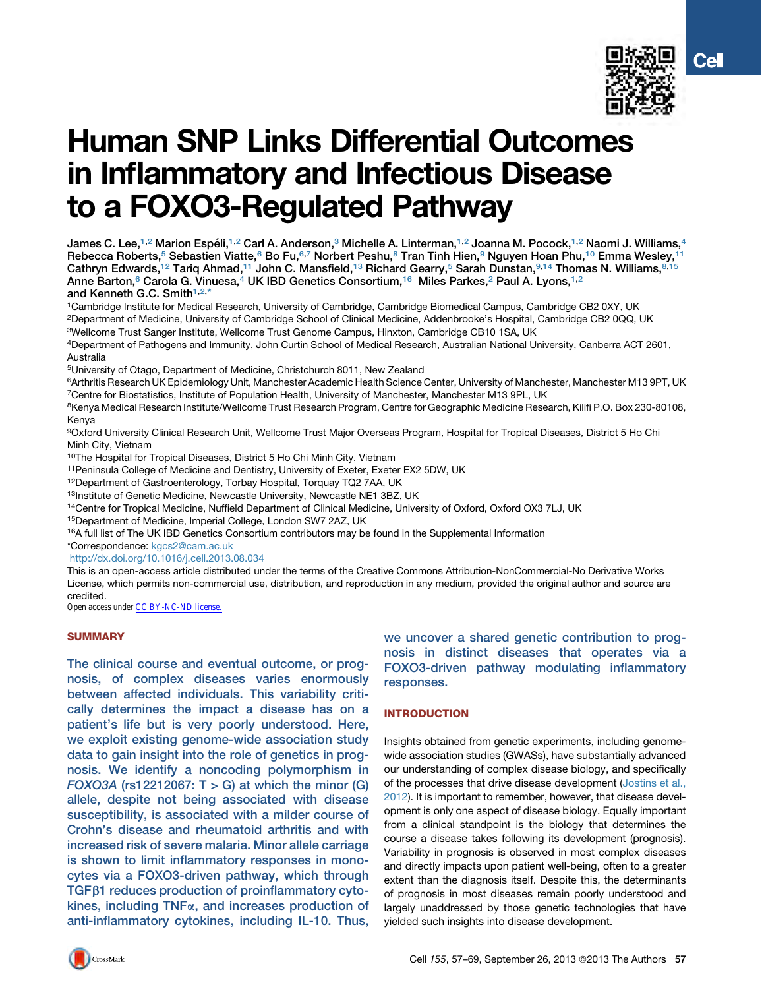

# Human SNP Links Differential Outcomes in Inflammatory and Infectious Disease to a FOXO3-Regulated Pathway

James C. Lee,<sup>1,2</sup> Marion Espéli,<sup>1,2</sup> Carl A. Anderson,<sup>3</sup> Michelle A. Linterman,<sup>1,2</sup> Joanna M. Pocock,<sup>1,2</sup> Naomi J. Williams,<sup>4</sup> Rebecca Roberts,<sup>5</sup> Sebastien Viatte,<sup>6</sup> Bo Fu,<sup>6,7</sup> Norbert Peshu,<sup>8</sup> Tran Tinh Hien,<sup>9</sup> Nguyen Hoan Phu,<sup>10</sup> Emma Wesley,<sup>1</sup> Cathryn Edwards,<sup>12</sup> Tariq Ahmad,<sup>11</sup> John C. Mansfield,<sup>13</sup> Richard Gearry,<sup>5</sup> Sarah Dunstan,<sup>9,14</sup> Thomas N. Williams,<sup>8,15</sup> Anne Barton,<sup>6</sup> Carola G. Vinuesa,<sup>4</sup> UK IBD Genetics Consortium,<sup>16</sup> Miles Parkes,<sup>2</sup> Paul A. Lyons,<sup>1,2</sup> and Kenneth G.C. Smith<sup>1,2,\*</sup>

1Cambridge Institute for Medical Research, University of Cambridge, Cambridge Biomedical Campus, Cambridge CB2 0XY, UK 2Department of Medicine, University of Cambridge School of Clinical Medicine, Addenbrooke's Hospital, Cambridge CB2 0QQ, UK

3Wellcome Trust Sanger Institute, Wellcome Trust Genome Campus, Hinxton, Cambridge CB10 1SA, UK

4Department of Pathogens and Immunity, John Curtin School of Medical Research, Australian National University, Canberra ACT 2601, Australia

5University of Otago, Department of Medicine, Christchurch 8011, New Zealand

6Arthritis Research UK Epidemiology Unit, Manchester Academic Health Science Center, University of Manchester, Manchester M13 9PT, UK 7Centre for Biostatistics, Institute of Population Health, University of Manchester, Manchester M13 9PL, UK

<sup>8</sup>Kenya Medical Research Institute/Wellcome Trust Research Program, Centre for Geographic Medicine Research, Kilifi P.O. Box 230-80108, Kenya

9Oxford University Clinical Research Unit, Wellcome Trust Major Overseas Program, Hospital for Tropical Diseases, District 5 Ho Chi Minh City, Vietnam

10The Hospital for Tropical Diseases, District 5 Ho Chi Minh City, Vietnam

11Peninsula College of Medicine and Dentistry, University of Exeter, Exeter EX2 5DW, UK

12Department of Gastroenterology, Torbay Hospital, Torquay TQ2 7AA, UK

13Institute of Genetic Medicine, Newcastle University, Newcastle NE1 3BZ, UK

<sup>14</sup>Centre for Tropical Medicine, Nuffield Department of Clinical Medicine, University of Oxford, Oxford OX3 7LJ, UK

15Department of Medicine, Imperial College, London SW7 2AZ, UK

<sup>16</sup>A full list of The UK IBD Genetics Consortium contributors may be found in the Supplemental Information

\*Correspondence: [kgcs2@cam.ac.uk](mailto:kgcs2@cam.ac.uk)

<http://dx.doi.org/10.1016/j.cell.2013.08.034>

This is an open-access article distributed under the terms of the Creative Commons Attribution-NonCommercial-No Derivative Works License, which permits non-commercial use, distribution, and reproduction in any medium, provided the original author and source are credited.

Open access under [CC BY-NC-ND license.](http://creativecommons.org/licenses/by-nc-nd/3.0/)

## **SUMMARY**

The clinical course and eventual outcome, or prognosis, of complex diseases varies enormously between affected individuals. This variability critically determines the impact a disease has on a patient's life but is very poorly understood. Here, we exploit existing genome-wide association study data to gain insight into the role of genetics in prognosis. We identify a noncoding polymorphism in FOXO3A ( $rs12212067$ : T > G) at which the minor (G) allele, despite not being associated with disease susceptibility, is associated with a milder course of Crohn's disease and rheumatoid arthritis and with increased risk of severe malaria. Minor allele carriage is shown to limit inflammatory responses in monocytes via a FOXO3-driven pathway, which through  $TGF\beta1$  reduces production of proinflammatory cytokines, including  $TNF\alpha$ , and increases production of anti-inflammatory cytokines, including IL-10. Thus,

we uncover a shared genetic contribution to prognosis in distinct diseases that operates via a FOXO3-driven pathway modulating inflammatory responses.

## INTRODUCTION

Insights obtained from genetic experiments, including genomewide association studies (GWASs), have substantially advanced our understanding of complex disease biology, and specifically of the processes that drive disease development [\(Jostins et al.,](#page-11-0) [2012\)](#page-11-0). It is important to remember, however, that disease development is only one aspect of disease biology. Equally important from a clinical standpoint is the biology that determines the course a disease takes following its development (prognosis). Variability in prognosis is observed in most complex diseases and directly impacts upon patient well-being, often to a greater extent than the diagnosis itself. Despite this, the determinants of prognosis in most diseases remain poorly understood and largely unaddressed by those genetic technologies that have yielded such insights into disease development.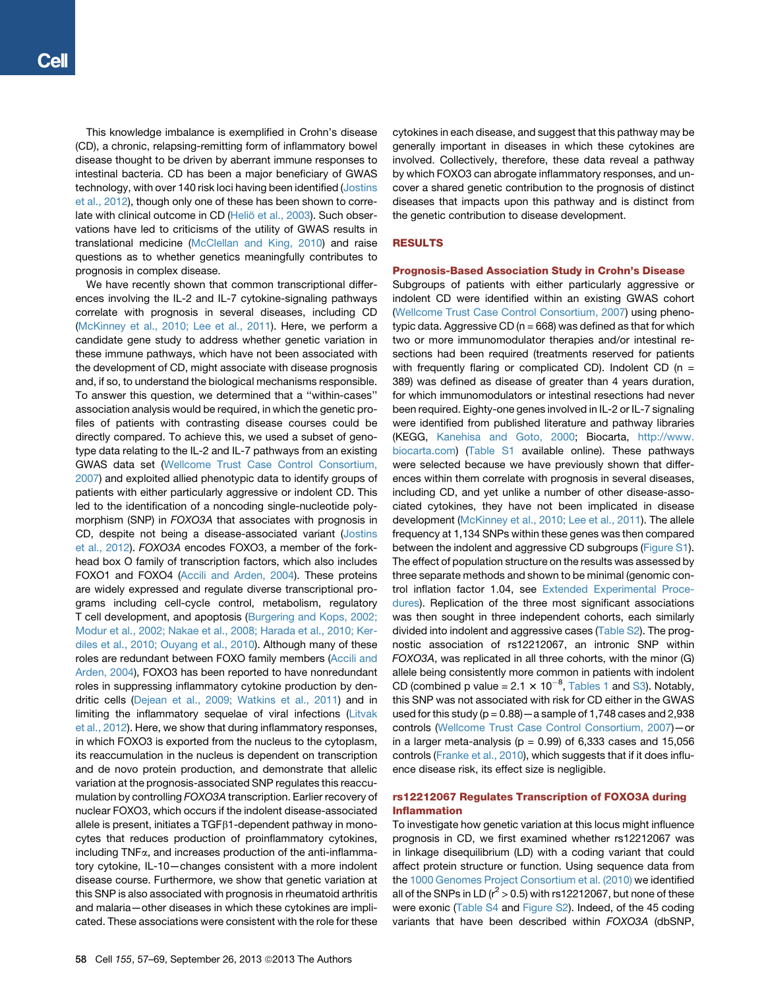This knowledge imbalance is exemplified in Crohn's disease (CD), a chronic, relapsing-remitting form of inflammatory bowel disease thought to be driven by aberrant immune responses to intestinal bacteria. CD has been a major beneficiary of GWAS technology, with over 140 risk loci having been identified ([Jostins](#page-11-0) [et al., 2012](#page-11-0)), though only one of these has been shown to correlate with clinical outcome in CD (Heliö [et al., 2003\)](#page-11-0). Such observations have led to criticisms of the utility of GWAS results in translational medicine [\(McClellan and King, 2010](#page-11-0)) and raise questions as to whether genetics meaningfully contributes to prognosis in complex disease.

We have recently shown that common transcriptional differences involving the IL-2 and IL-7 cytokine-signaling pathways correlate with prognosis in several diseases, including CD ([McKinney et al., 2010; Lee et al., 2011](#page-11-0)). Here, we perform a candidate gene study to address whether genetic variation in these immune pathways, which have not been associated with the development of CD, might associate with disease prognosis and, if so, to understand the biological mechanisms responsible. To answer this question, we determined that a ''within-cases'' association analysis would be required, in which the genetic profiles of patients with contrasting disease courses could be directly compared. To achieve this, we used a subset of genotype data relating to the IL-2 and IL-7 pathways from an existing GWAS data set ([Wellcome Trust Case Control Consortium,](#page-12-0) [2007](#page-12-0)) and exploited allied phenotypic data to identify groups of patients with either particularly aggressive or indolent CD. This led to the identification of a noncoding single-nucleotide polymorphism (SNP) in *FOXO3A* that associates with prognosis in CD, despite not being a disease-associated variant ([Jostins](#page-11-0) [et al., 2012\)](#page-11-0). *FOXO3A* encodes FOXO3, a member of the forkhead box O family of transcription factors, which also includes FOXO1 and FOXO4 [\(Accili and Arden, 2004\)](#page-10-0). These proteins are widely expressed and regulate diverse transcriptional programs including cell-cycle control, metabolism, regulatory T cell development, and apoptosis [\(Burgering and Kops, 2002;](#page-10-0) [Modur et al., 2002; Nakae et al., 2008; Harada et al., 2010; Ker](#page-10-0)[diles et al., 2010; Ouyang et al., 2010](#page-10-0)). Although many of these roles are redundant between FOXO family members ([Accili and](#page-10-0) [Arden, 2004\)](#page-10-0), FOXO3 has been reported to have nonredundant roles in suppressing inflammatory cytokine production by dendritic cells [\(Dejean et al., 2009; Watkins et al., 2011\)](#page-10-0) and in limiting the inflammatory sequelae of viral infections [\(Litvak](#page-11-0) [et al., 2012\)](#page-11-0). Here, we show that during inflammatory responses, in which FOXO3 is exported from the nucleus to the cytoplasm, its reaccumulation in the nucleus is dependent on transcription and de novo protein production, and demonstrate that allelic variation at the prognosis-associated SNP regulates this reaccumulation by controlling *FOXO3A* transcription. Earlier recovery of nuclear FOXO3, which occurs if the indolent disease-associated allele is present, initiates a  $TGF\beta1$ -dependent pathway in monocytes that reduces production of proinflammatory cytokines, including TNFa, and increases production of the anti-inflammatory cytokine, IL-10—changes consistent with a more indolent disease course. Furthermore, we show that genetic variation at this SNP is also associated with prognosis in rheumatoid arthritis and malaria—other diseases in which these cytokines are implicated. These associations were consistent with the role for these

cytokines in each disease, and suggest that this pathway may be generally important in diseases in which these cytokines are involved. Collectively, therefore, these data reveal a pathway by which FOXO3 can abrogate inflammatory responses, and uncover a shared genetic contribution to the prognosis of distinct diseases that impacts upon this pathway and is distinct from the genetic contribution to disease development.

## RESULTS

#### Prognosis-Based Association Study in Crohn's Disease

Subgroups of patients with either particularly aggressive or indolent CD were identified within an existing GWAS cohort [\(Wellcome Trust Case Control Consortium, 2007](#page-12-0)) using phenotypic data. Aggressive CD ( $n = 668$ ) was defined as that for which two or more immunomodulator therapies and/or intestinal resections had been required (treatments reserved for patients with frequently flaring or complicated CD). Indolent CD ( $n =$ 389) was defined as disease of greater than 4 years duration, for which immunomodulators or intestinal resections had never been required. Eighty-one genes involved in IL-2 or IL-7 signaling were identified from published literature and pathway libraries (KEGG, [Kanehisa and Goto, 2000](#page-11-0); Biocarta, [http://www.](http://www.biocarta.com) [biocarta.com\)](http://www.biocarta.com) (Table S1 available online). These pathways were selected because we have previously shown that differences within them correlate with prognosis in several diseases, including CD, and yet unlike a number of other disease-associated cytokines, they have not been implicated in disease development [\(McKinney et al., 2010; Lee et al., 2011\)](#page-11-0). The allele frequency at 1,134 SNPs within these genes was then compared between the indolent and aggressive CD subgroups (Figure S1). The effect of population structure on the results was assessed by three separate methods and shown to be minimal (genomic control inflation factor 1.04, see Extended Experimental Procedures). Replication of the three most significant associations was then sought in three independent cohorts, each similarly divided into indolent and aggressive cases (Table S2). The prognostic association of rs12212067, an intronic SNP within *FOXO3A*, was replicated in all three cohorts, with the minor (G) allele being consistently more common in patients with indolent CD (combined p value =  $2.1 \times 10^{-8}$ , [Tables 1](#page-2-0) and S3). Notably, this SNP was not associated with risk for CD either in the GWAS used for this study ( $p = 0.88$ ) – a sample of 1,748 cases and 2,938 controls ([Wellcome Trust Case Control Consortium, 2007\)](#page-12-0)—or in a larger meta-analysis ( $p = 0.99$ ) of 6,333 cases and 15,056 controls [\(Franke et al., 2010](#page-11-0)), which suggests that if it does influence disease risk, its effect size is negligible.

## rs12212067 Regulates Transcription of FOXO3A during Inflammation

To investigate how genetic variation at this locus might influence prognosis in CD, we first examined whether rs12212067 was in linkage disequilibrium (LD) with a coding variant that could affect protein structure or function. Using sequence data from the [1000 Genomes Project Consortium et al. \(2010\)](#page-10-0) we identified all of the SNPs in LD ( $r^2 > 0.5$ ) with rs12212067, but none of these were exonic (Table S4 and Figure S2). Indeed, of the 45 coding variants that have been described within *FOXO3A* (dbSNP,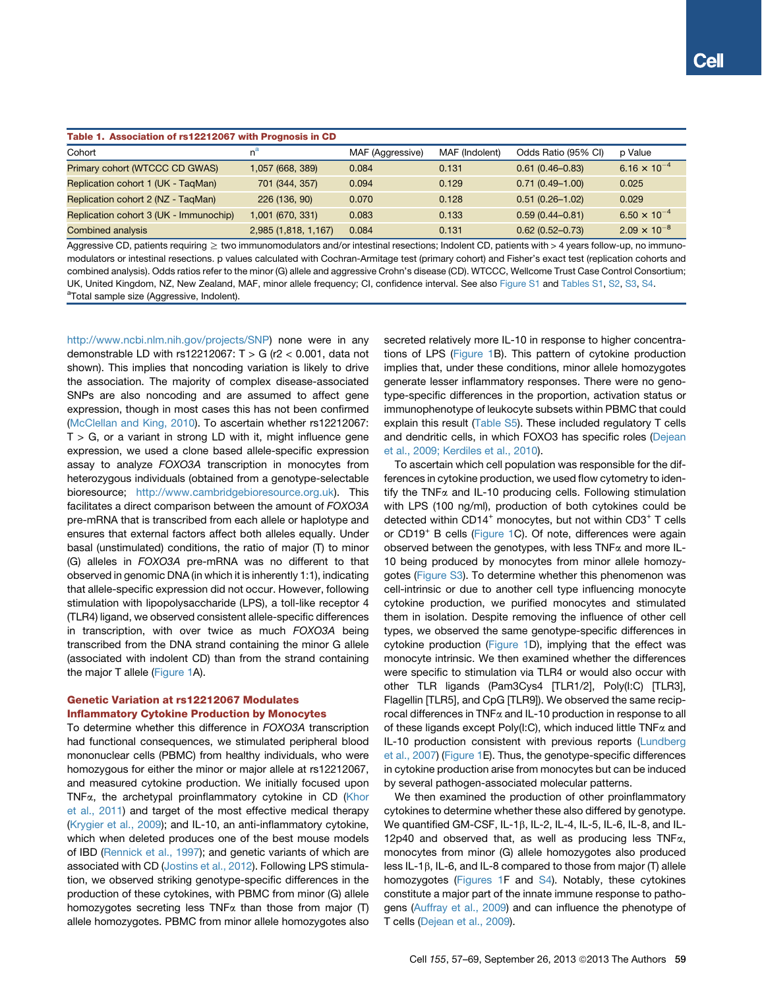<span id="page-2-0"></span>

| Table 1. Association of rs12212067 with Prognosis in CD |                      |                  |                |                     |                                |
|---------------------------------------------------------|----------------------|------------------|----------------|---------------------|--------------------------------|
| Cohort                                                  | $n^a$                | MAF (Aggressive) | MAF (Indolent) | Odds Ratio (95% CI) | p Value                        |
| Primary cohort (WTCCC CD GWAS)                          | 1,057 (668, 389)     | 0.084            | 0.131          | $0.61(0.46 - 0.83)$ | 6.16 $\times$ 10 <sup>-4</sup> |
| Replication cohort 1 (UK - TagMan)                      | 701 (344, 357)       | 0.094            | 0.129          | $0.71(0.49 - 1.00)$ | 0.025                          |
| Replication cohort 2 (NZ - TagMan)                      | 226 (136, 90)        | 0.070            | 0.128          | $0.51(0.26 - 1.02)$ | 0.029                          |
| Replication cohort 3 (UK - Immunochip)                  | 1,001 (670, 331)     | 0.083            | 0.133          | $0.59(0.44 - 0.81)$ | $6.50 \times 10^{-4}$          |
| Combined analysis                                       | 2,985 (1,818, 1,167) | 0.084            | 0.131          | $0.62(0.52 - 0.73)$ | $2.09 \times 10^{-8}$          |

Aggressive CD, patients requiring ≥ two immunomodulators and/or intestinal resections; Indolent CD, patients with > 4 years follow-up, no immunomodulators or intestinal resections. p values calculated with Cochran-Armitage test (primary cohort) and Fisher's exact test (replication cohorts and combined analysis). Odds ratios refer to the minor (G) allele and aggressive Crohn's disease (CD). WTCCC, Wellcome Trust Case Control Consortium; UK, United Kingdom, NZ, New Zealand, MAF, minor allele frequency; CI, confidence interval. See also Figure S1 and Tables S1, S2, S3, S4. <sup>a</sup>Total sample size (Aggressive, Indolent).

<http://www.ncbi.nlm.nih.gov/projects/SNP>) none were in any demonstrable LD with rs12212067:  $T > G$  (r2 < 0.001, data not shown). This implies that noncoding variation is likely to drive the association. The majority of complex disease-associated SNPs are also noncoding and are assumed to affect gene expression, though in most cases this has not been confirmed [\(McClellan and King, 2010](#page-11-0)). To ascertain whether rs12212067:  $T > G$ , or a variant in strong LD with it, might influence gene expression, we used a clone based allele-specific expression assay to analyze *FOXO3A* transcription in monocytes from heterozygous individuals (obtained from a genotype-selectable bioresource; <http://www.cambridgebioresource.org.uk>). This facilitates a direct comparison between the amount of *FOXO3A* pre-mRNA that is transcribed from each allele or haplotype and ensures that external factors affect both alleles equally. Under basal (unstimulated) conditions, the ratio of major (T) to minor (G) alleles in *FOXO3A* pre-mRNA was no different to that observed in genomic DNA (in which it is inherently 1:1), indicating that allele-specific expression did not occur. However, following stimulation with lipopolysaccharide (LPS), a toll-like receptor 4 (TLR4) ligand, we observed consistent allele-specific differences in transcription, with over twice as much *FOXO3A* being transcribed from the DNA strand containing the minor G allele (associated with indolent CD) than from the strand containing the major T allele [\(Figure 1A](#page-3-0)).

## Genetic Variation at rs12212067 Modulates Inflammatory Cytokine Production by Monocytes

To determine whether this difference in *FOXO3A* transcription had functional consequences, we stimulated peripheral blood mononuclear cells (PBMC) from healthy individuals, who were homozygous for either the minor or major allele at rs12212067, and measured cytokine production. We initially focused upon TNFa, the archetypal proinflammatory cytokine in CD [\(Khor](#page-11-0) [et al., 2011](#page-11-0)) and target of the most effective medical therapy [\(Krygier et al., 2009\)](#page-11-0); and IL-10, an anti-inflammatory cytokine, which when deleted produces one of the best mouse models of IBD [\(Rennick et al., 1997\)](#page-11-0); and genetic variants of which are associated with CD ([Jostins et al., 2012\)](#page-11-0). Following LPS stimulation, we observed striking genotype-specific differences in the production of these cytokines, with PBMC from minor (G) allele homozygotes secreting less  $TNF\alpha$  than those from major (T) allele homozygotes. PBMC from minor allele homozygotes also

secreted relatively more IL-10 in response to higher concentrations of LPS ([Figure 1](#page-3-0)B). This pattern of cytokine production implies that, under these conditions, minor allele homozygotes generate lesser inflammatory responses. There were no genotype-specific differences in the proportion, activation status or immunophenotype of leukocyte subsets within PBMC that could explain this result (Table S5). These included regulatory T cells and dendritic cells, in which FOXO3 has specific roles ([Dejean](#page-10-0) [et al., 2009; Kerdiles et al., 2010\)](#page-10-0).

To ascertain which cell population was responsible for the differences in cytokine production, we used flow cytometry to identify the TNF $\alpha$  and IL-10 producing cells. Following stimulation with LPS (100 ng/ml), production of both cytokines could be detected within CD14 $^+$  monocytes, but not within CD3 $^+$  T cells or CD19<sup>+</sup> B cells [\(Figure 1](#page-3-0)C). Of note, differences were again observed between the genotypes, with less  $TNFx$  and more IL-10 being produced by monocytes from minor allele homozygotes (Figure S3). To determine whether this phenomenon was cell-intrinsic or due to another cell type influencing monocyte cytokine production, we purified monocytes and stimulated them in isolation. Despite removing the influence of other cell types, we observed the same genotype-specific differences in cytokine production ([Figure 1D](#page-3-0)), implying that the effect was monocyte intrinsic. We then examined whether the differences were specific to stimulation via TLR4 or would also occur with other TLR ligands (Pam3Cys4 [TLR1/2], Poly(I:C) [TLR3], Flagellin [TLR5], and CpG [TLR9]). We observed the same reciprocal differences in  $TNF\alpha$  and IL-10 production in response to all of these ligands except Poly(I:C), which induced little  $TNF\alpha$  and IL-10 production consistent with previous reports ([Lundberg](#page-11-0) [et al., 2007](#page-11-0)) ([Figure 1](#page-3-0)E). Thus, the genotype-specific differences in cytokine production arise from monocytes but can be induced by several pathogen-associated molecular patterns.

We then examined the production of other proinflammatory cytokines to determine whether these also differed by genotype. We quantified GM-CSF, IL-1 $\beta$ , IL-2, IL-4, IL-5, IL-6, IL-8, and IL-12p40 and observed that, as well as producing less  $TNF\alpha$ , monocytes from minor (G) allele homozygotes also produced less IL-1 $\beta$ , IL-6, and IL-8 compared to those from major (T) allele homozygotes ([Figures 1F](#page-3-0) and S4). Notably, these cytokines constitute a major part of the innate immune response to pathogens ([Auffray et al., 2009\)](#page-10-0) and can influence the phenotype of T cells [\(Dejean et al., 2009\)](#page-10-0).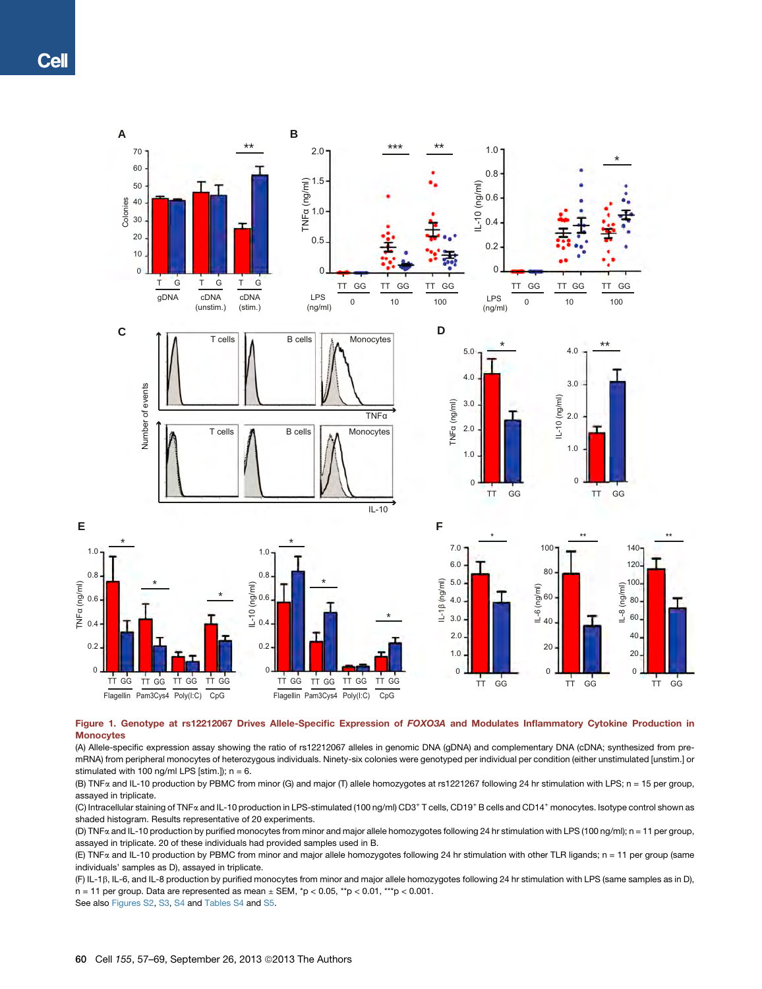<span id="page-3-0"></span>

## Figure 1. Genotype at rs12212067 Drives Allele-Specific Expression of FOXO3A and Modulates Inflammatory Cytokine Production in **Monocytes**

(A) Allele-specific expression assay showing the ratio of rs12212067 alleles in genomic DNA (gDNA) and complementary DNA (cDNA; synthesized from premRNA) from peripheral monocytes of heterozygous individuals. Ninety-six colonies were genotyped per individual per condition (either unstimulated [unstim.] or stimulated with 100 ng/ml LPS [stim.]);  $n = 6$ .

(B) TNFa and IL-10 production by PBMC from minor (G) and major (T) allele homozygotes at rs1221267 following 24 hr stimulation with LPS; n = 15 per group, assayed in triplicate.

(C) Intracellular staining of TNFa and IL-10 production in LPS-stimulated (100 ng/ml) CD3<sup>+</sup> T cells, CD19<sup>+</sup> B cells and CD14<sup>+</sup> monocytes. Isotype control shown as shaded histogram. Results representative of 20 experiments.

(D) TNFa and IL-10 production by purified monocytes from minor and major allele homozygotes following 24 hr stimulation with LPS (100 ng/ml); n = 11 per group, assayed in triplicate. 20 of these individuals had provided samples used in B.

(E) TNFa and IL-10 production by PBMC from minor and major allele homozygotes following 24 hr stimulation with other TLR ligands; n = 11 per group (same individuals' samples as D), assayed in triplicate.

(F) IL-1b, IL-6, and IL-8 production by purified monocytes from minor and major allele homozygotes following 24 hr stimulation with LPS (same samples as in D), n = 11 per group. Data are represented as mean  $\pm$  SEM,  $*p < 0.05$ ,  $*p < 0.01$ ,  $**p < 0.001$ .

See also Figures S2, S3, S4 and Tables S4 and S5.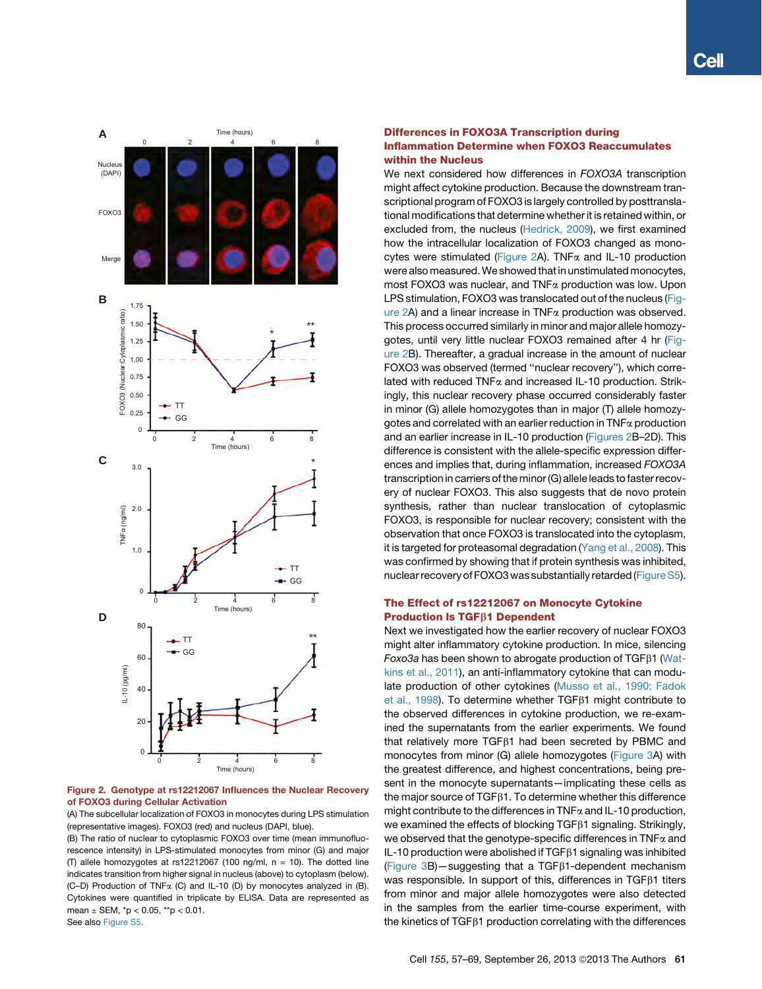<span id="page-4-0"></span>

Figure 2. Genotype at rs12212067 Influences the Nuclear Recovery of FOXO3 during Cellular Activation

(A) The subcellular localization of FOXO3 in monocytes during LPS stimulation (representative images). FOXO3 (red) and nucleus (DAPI, blue).

(B) The ratio of nuclear to cytoplasmic FOXO3 over time (mean immunofluorescence intensity) in LPS-stimulated monocytes from minor (G) and major (T) allele homozygotes at rs12212067 (100 ng/ml,  $n = 10$ ). The dotted line indicates transition from higher signal in nucleus (above) to cytoplasm (below). (C–D) Production of TNFa (C) and IL-10 (D) by monocytes analyzed in (B). Cytokines were quantified in triplicate by ELISA. Data are represented as mean  $\pm$  SEM,  $*p < 0.05$ ,  $*p < 0.01$ . See also Figure S5.

## Differences in FOXO3A Transcription during Inflammation Determine when FOXO3 Reaccumulates within the Nucleus

We next considered how differences in *FOXO3A* transcription might affect cytokine production. Because the downstream transcriptional program of FOXO3 is largely controlled by posttranslational modifications that determine whether it is retained within, or excluded from, the nucleus [\(Hedrick, 2009](#page-11-0)), we first examined how the intracellular localization of FOXO3 changed as monocytes were stimulated (Figure 2A). TNF $\alpha$  and IL-10 production were also measured. We showed that in unstimulated monocytes, most FOXO3 was nuclear, and TNF<sub>x</sub> production was low. Upon LPS stimulation, FOXO3 was translocated out of the nucleus (Figure 2A) and a linear increase in  $TNF\alpha$  production was observed. This process occurred similarly in minor and major allele homozygotes, until very little nuclear FOXO3 remained after 4 hr (Figure 2B). Thereafter, a gradual increase in the amount of nuclear FOXO3 was observed (termed ''nuclear recovery''), which correlated with reduced TNFa and increased IL-10 production. Strikingly, this nuclear recovery phase occurred considerably faster in minor (G) allele homozygotes than in major (T) allele homozygotes and correlated with an earlier reduction in  $TNF\alpha$  production and an earlier increase in IL-10 production (Figures 2B–2D). This difference is consistent with the allele-specific expression differences and implies that, during inflammation, increased *FOXO3A* transcription in carriers of the minor (G) allele leads to faster recovery of nuclear FOXO3. This also suggests that de novo protein synthesis, rather than nuclear translocation of cytoplasmic FOXO3, is responsible for nuclear recovery; consistent with the observation that once FOXO3 is translocated into the cytoplasm, it is targeted for proteasomal degradation [\(Yang et al., 2008\)](#page-12-0). This was confirmed by showing that if protein synthesis was inhibited, nuclear recovery of FOXO3 was substantially retarded (Figure S5).

## The Effect of rs12212067 on Monocyte Cytokine **Production Is TGFB1 Dependent**

Next we investigated how the earlier recovery of nuclear FOXO3 might alter inflammatory cytokine production. In mice, silencing *Foxo3a* has been shown to abrogate production of TGFb1 ([Wat](#page-12-0)[kins et al., 2011\)](#page-12-0), an anti-inflammatory cytokine that can modulate production of other cytokines [\(Musso et al., 1990; Fadok](#page-11-0) [et al., 1998](#page-11-0)). To determine whether  $TGF\beta1$  might contribute to the observed differences in cytokine production, we re-examined the supernatants from the earlier experiments. We found that relatively more  $TGF\beta1$  had been secreted by PBMC and monocytes from minor (G) allele homozygotes ([Figure 3](#page-5-0)A) with the greatest difference, and highest concentrations, being present in the monocyte supernatants—implicating these cells as the major source of TGF<sub>B1</sub>. To determine whether this difference might contribute to the differences in  $TNF\alpha$  and IL-10 production, we examined the effects of blocking TGF $\beta$ 1 signaling. Strikingly, we observed that the genotype-specific differences in  $TNF\alpha$  and IL-10 production were abolished if  $TGF\beta1$  signaling was inhibited (Figure  $3B$ ) — suggesting that a TGF $\beta$ 1-dependent mechanism was responsible. In support of this, differences in  $TGF\beta1$  titers from minor and major allele homozygotes were also detected in the samples from the earlier time-course experiment, with the kinetics of  $TGF\beta1$  production correlating with the differences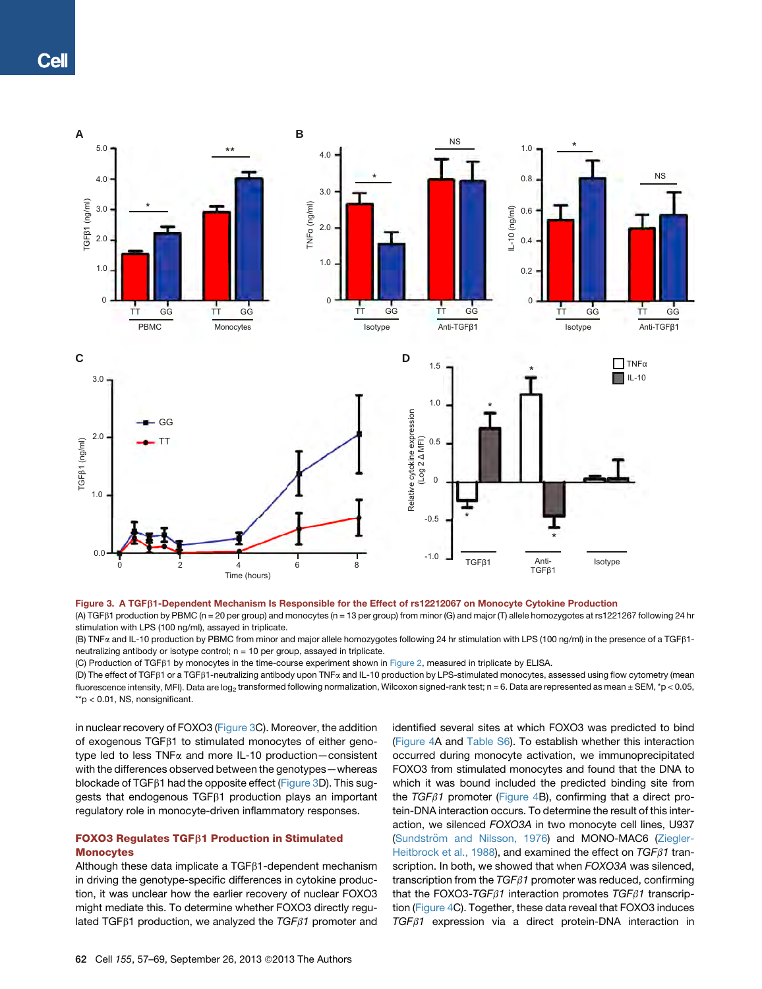<span id="page-5-0"></span>

## Figure 3. A TGFb1-Dependent Mechanism Is Responsible for the Effect of rs12212067 on Monocyte Cytokine Production

(A) TGFb1 production by PBMC (n = 20 per group) and monocytes (n = 13 per group) from minor (G) and major (T) allele homozygotes at rs1221267 following 24 hr stimulation with LPS (100 ng/ml), assayed in triplicate.

(B) TNFa and IL-10 production by PBMC from minor and major allele homozygotes following 24 hr stimulation with LPS (100 ng/ml) in the presence of a TGFb1 neutralizing antibody or isotype control; n = 10 per group, assayed in triplicate.

(C) Production of TGFB1 by monocytes in the time-course experiment shown in [Figure 2](#page-4-0), measured in triplicate by ELISA.

(D) The effect of TGFb1 or a TGFb1-neutralizing antibody upon TNFa and IL-10 production by LPS-stimulated monocytes, assessed using flow cytometry (mean fluorescence intensity, MFI). Data are log<sub>2</sub> transformed following normalization, Wilcoxon signed-rank test; n = 6. Data are represented as mean ± SEM, \*p < 0.05, \*\*p < 0.01, NS, nonsignificant.

in nuclear recovery of FOXO3 (Figure 3C). Moreover, the addition of exogenous TGF $\beta$ 1 to stimulated monocytes of either genotype led to less TNFa and more IL-10 production—consistent with the differences observed between the genotypes—whereas blockade of TGF $\beta$ 1 had the opposite effect (Figure 3D). This suggests that endogenous  $TGF\beta1$  production plays an important regulatory role in monocyte-driven inflammatory responses.

# FOXO3 Regulates TGFB1 Production in Stimulated **Monocytes**

Although these data implicate a  $TGF\beta1$ -dependent mechanism in driving the genotype-specific differences in cytokine production, it was unclear how the earlier recovery of nuclear FOXO3 might mediate this. To determine whether FOXO3 directly regulated TGF $\beta$ 1 production, we analyzed the *TGF* $\beta$ 1 promoter and

identified several sites at which FOXO3 was predicted to bind [\(Figure 4](#page-6-0)A and Table S6). To establish whether this interaction occurred during monocyte activation, we immunoprecipitated FOXO3 from stimulated monocytes and found that the DNA to which it was bound included the predicted binding site from the *TGF*b*1* promoter [\(Figure 4B](#page-6-0)), confirming that a direct protein-DNA interaction occurs. To determine the result of this interaction, we silenced *FOXO3A* in two monocyte cell lines, U937 (Sundströ[m and Nilsson, 1976](#page-11-0)) and MONO-MAC6 ([Ziegler-](#page-12-0)[Heitbrock et al., 1988\)](#page-12-0), and examined the effect on *TGF* $\beta$ 1 transcription. In both, we showed that when *FOXO3A* was silenced, transcription from the *TGF*b*1* promoter was reduced, confirming that the FOXO3-TGF $\beta$ 1 interaction promotes  $TGF \beta$ 1 transcription ([Figure 4C](#page-6-0)). Together, these data reveal that FOXO3 induces *TGF*b*1* expression via a direct protein-DNA interaction in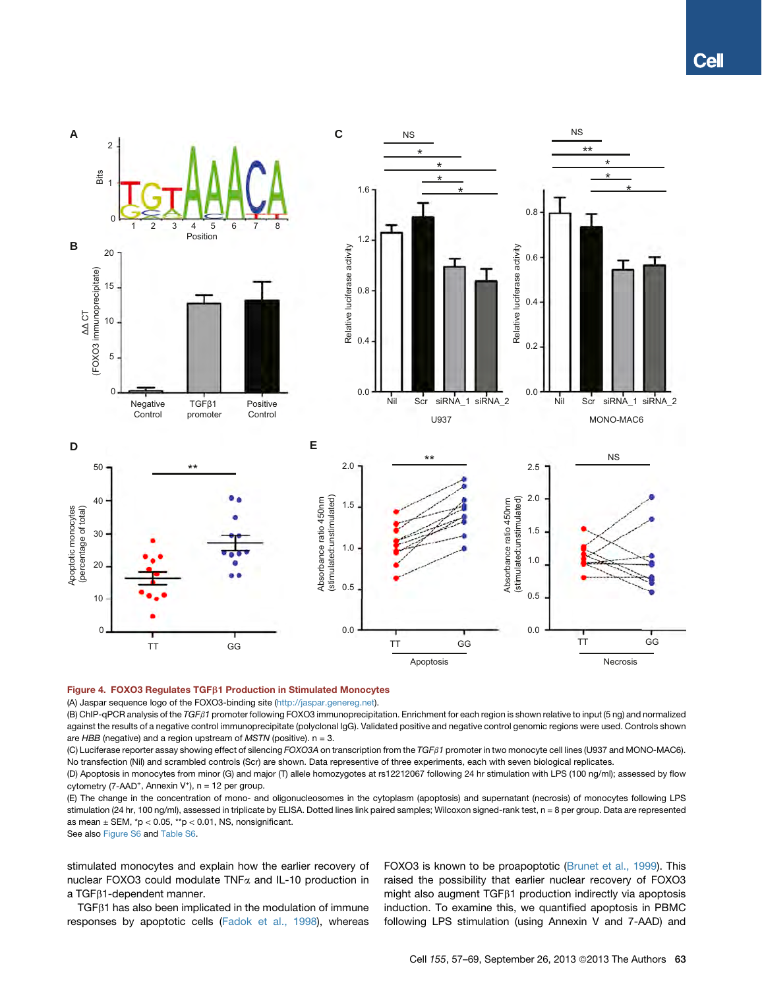<span id="page-6-0"></span>

### Figure 4. FOXO3 Regulates TGFB1 Production in Stimulated Monocytes

(A) Jaspar sequence logo of the FOXO3-binding site [\(http://jaspar.genereg.net\)](http://jaspar.genereg.net).

(B) ChIP-qPCR analysis of the *TGF*b*1* promoter following FOXO3 immunoprecipitation. Enrichment for each region is shown relative to input (5 ng) and normalized against the results of a negative control immunoprecipitate (polyclonal IgG). Validated positive and negative control genomic regions were used. Controls shown are *HBB* (negative) and a region upstream of *MSTN* (positive). n = 3.

(C) Luciferase reporter assay showing effect of silencing *FOXO3A* on transcription from the *TGF*b*1* promoter in two monocyte cell lines (U937 and MONO-MAC6). No transfection (Nil) and scrambled controls (Scr) are shown. Data representive of three experiments, each with seven biological replicates.

(D) Apoptosis in monocytes from minor (G) and major (T) allele homozygotes at rs12212067 following 24 hr stimulation with LPS (100 ng/ml); assessed by flow cytometry (7-AAD<sup>+</sup>, Annexin V<sup>+</sup>),  $n = 12$  per group.

(E) The change in the concentration of mono- and oligonucleosomes in the cytoplasm (apoptosis) and supernatant (necrosis) of monocytes following LPS stimulation (24 hr, 100 ng/ml), assessed in triplicate by ELISA. Dotted lines link paired samples; Wilcoxon signed-rank test, n = 8 per group. Data are represented as mean  $\pm$  SEM,  $*p < 0.05$ ,  $*p < 0.01$ , NS, nonsignificant.

See also Figure S6 and Table S6.

stimulated monocytes and explain how the earlier recovery of nuclear FOXO3 could modulate TNFa and IL-10 production in a TGF<sub>B1</sub>-dependent manner.

 $TGF\beta1$  has also been implicated in the modulation of immune responses by apoptotic cells ([Fadok et al., 1998\)](#page-11-0), whereas

FOXO3 is known to be proapoptotic ([Brunet et al., 1999](#page-10-0)). This raised the possibility that earlier nuclear recovery of FOXO3 might also augment  $TGF\beta1$  production indirectly via apoptosis induction. To examine this, we quantified apoptosis in PBMC following LPS stimulation (using Annexin V and 7-AAD) and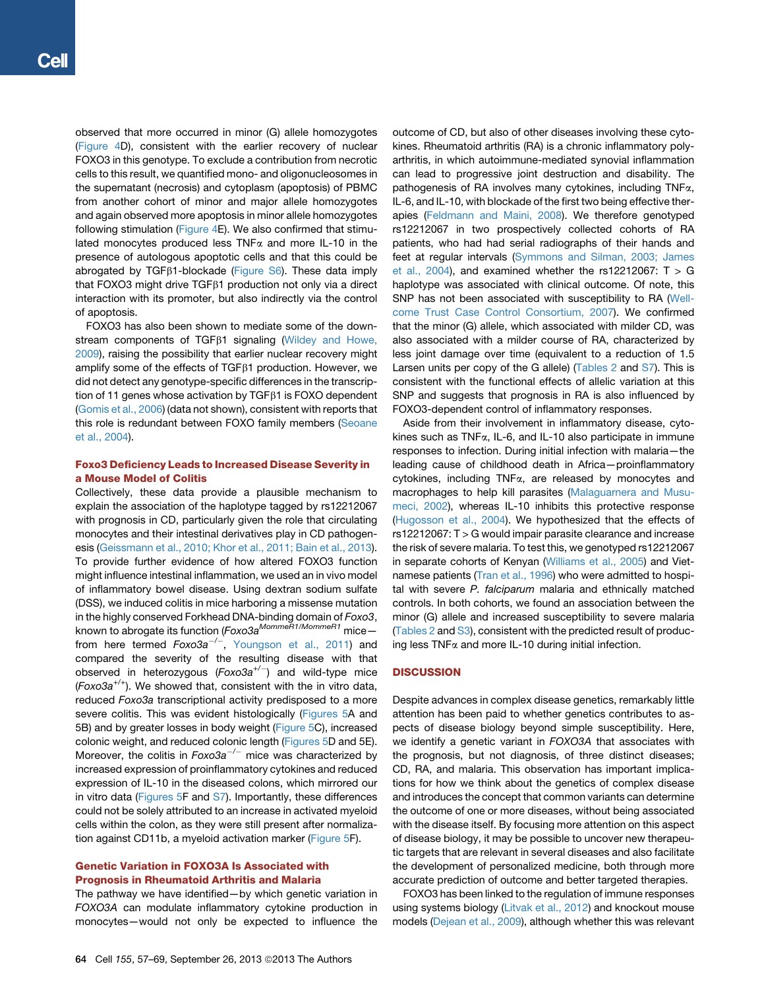observed that more occurred in minor (G) allele homozygotes ([Figure 4](#page-6-0)D), consistent with the earlier recovery of nuclear FOXO3 in this genotype. To exclude a contribution from necrotic cells to this result, we quantified mono- and oligonucleosomes in the supernatant (necrosis) and cytoplasm (apoptosis) of PBMC from another cohort of minor and major allele homozygotes and again observed more apoptosis in minor allele homozygotes following stimulation ([Figure 4](#page-6-0)E). We also confirmed that stimulated monocytes produced less TNF $\alpha$  and more IL-10 in the presence of autologous apoptotic cells and that this could be abrogated by TGF $\beta$ 1-blockade (Figure S6). These data imply that FOXO3 might drive TGF $\beta$ 1 production not only via a direct interaction with its promoter, but also indirectly via the control of apoptosis.

FOXO3 has also been shown to mediate some of the down-stream components of TGF<sub>B1</sub> signaling [\(Wildey and Howe,](#page-12-0) [2009](#page-12-0)), raising the possibility that earlier nuclear recovery might amplify some of the effects of TGF $\beta$ 1 production. However, we did not detect any genotype-specific differences in the transcription of 11 genes whose activation by TGF<sub>B1</sub> is FOXO dependent ([Gomis et al., 2006\)](#page-11-0) (data not shown), consistent with reports that this role is redundant between FOXO family members [\(Seoane](#page-11-0) [et al., 2004\)](#page-11-0).

## Foxo3 Deficiency Leads to Increased Disease Severity in a Mouse Model of Colitis

Collectively, these data provide a plausible mechanism to explain the association of the haplotype tagged by rs12212067 with prognosis in CD, particularly given the role that circulating monocytes and their intestinal derivatives play in CD pathogenesis ([Geissmann et al., 2010; Khor et al., 2011; Bain et al., 2013](#page-11-0)). To provide further evidence of how altered FOXO3 function might influence intestinal inflammation, we used an in vivo model of inflammatory bowel disease. Using dextran sodium sulfate (DSS), we induced colitis in mice harboring a missense mutation in the highly conserved Forkhead DNA-binding domain of *Foxo3*, known to abrogate its function (*Foxo3aMommeR1/MommeR1* mice from here termed *Foxo3a<sup>-/-</sup>*, [Youngson et al., 2011\)](#page-12-0) and compared the severity of the resulting disease with that observed in heterozygous (*Foxo3a*+/) and wild-type mice (*Foxo3a+/+*). We showed that, consistent with the in vitro data, reduced *Foxo3a* transcriptional activity predisposed to a more severe colitis. This was evident histologically ([Figures 5A](#page-8-0) and 5B) and by greater losses in body weight [\(Figure 5C](#page-8-0)), increased colonic weight, and reduced colonic length [\(Figures 5D](#page-8-0) and 5E). Moreover, the colitis in *Foxo3a<sup>-/-</sup>* mice was characterized by increased expression of proinflammatory cytokines and reduced expression of IL-10 in the diseased colons, which mirrored our in vitro data (Figures  $5F$  and  $S7$ ). Importantly, these differences could not be solely attributed to an increase in activated myeloid cells within the colon, as they were still present after normalization against CD11b, a myeloid activation marker [\(Figure 5F](#page-8-0)).

## Genetic Variation in FOXO3A Is Associated with Prognosis in Rheumatoid Arthritis and Malaria

The pathway we have identified—by which genetic variation in *FOXO3A* can modulate inflammatory cytokine production in monocytes—would not only be expected to influence the

outcome of CD, but also of other diseases involving these cytokines. Rheumatoid arthritis (RA) is a chronic inflammatory polyarthritis, in which autoimmune-mediated synovial inflammation can lead to progressive joint destruction and disability. The pathogenesis of RA involves many cytokines, including TNFa, IL-6, and IL-10, with blockade of the first two being effective therapies ([Feldmann and Maini, 2008\)](#page-11-0). We therefore genotyped rs12212067 in two prospectively collected cohorts of RA patients, who had had serial radiographs of their hands and feet at regular intervals ([Symmons and Silman, 2003; James](#page-11-0) [et al., 2004](#page-11-0)), and examined whether the  $rs12212067$ : T  $>$  G haplotype was associated with clinical outcome. Of note, this SNP has not been associated with susceptibility to RA ([Well](#page-12-0)[come Trust Case Control Consortium, 2007\)](#page-12-0). We confirmed that the minor (G) allele, which associated with milder CD, was also associated with a milder course of RA, characterized by less joint damage over time (equivalent to a reduction of 1.5 Larsen units per copy of the G allele) [\(Tables 2](#page-9-0) and S7). This is consistent with the functional effects of allelic variation at this SNP and suggests that prognosis in RA is also influenced by FOXO3-dependent control of inflammatory responses.

Aside from their involvement in inflammatory disease, cytokines such as TNFa, IL-6, and IL-10 also participate in immune responses to infection. During initial infection with malaria—the leading cause of childhood death in Africa—proinflammatory cytokines, including TNFa, are released by monocytes and macrophages to help kill parasites ([Malaguarnera and Musu](#page-11-0)[meci, 2002\)](#page-11-0), whereas IL-10 inhibits this protective response [\(Hugosson et al., 2004](#page-11-0)). We hypothesized that the effects of rs12212067: T > G would impair parasite clearance and increase the risk of severe malaria. To test this, we genotyped rs12212067 in separate cohorts of Kenyan [\(Williams et al., 2005\)](#page-12-0) and Vietnamese patients [\(Tran et al., 1996\)](#page-11-0) who were admitted to hospital with severe *P. falciparum* malaria and ethnically matched controls. In both cohorts, we found an association between the minor (G) allele and increased susceptibility to severe malaria [\(Tables 2](#page-9-0) and S3), consistent with the predicted result of producing less  $TNFx$  and more IL-10 during initial infection.

## **DISCUSSION**

Despite advances in complex disease genetics, remarkably little attention has been paid to whether genetics contributes to aspects of disease biology beyond simple susceptibility. Here, we identify a genetic variant in *FOXO3A* that associates with the prognosis, but not diagnosis, of three distinct diseases; CD, RA, and malaria. This observation has important implications for how we think about the genetics of complex disease and introduces the concept that common variants can determine the outcome of one or more diseases, without being associated with the disease itself. By focusing more attention on this aspect of disease biology, it may be possible to uncover new therapeutic targets that are relevant in several diseases and also facilitate the development of personalized medicine, both through more accurate prediction of outcome and better targeted therapies.

FOXO3 has been linked to the regulation of immune responses using systems biology [\(Litvak et al., 2012\)](#page-11-0) and knockout mouse models ([Dejean et al., 2009\)](#page-10-0), although whether this was relevant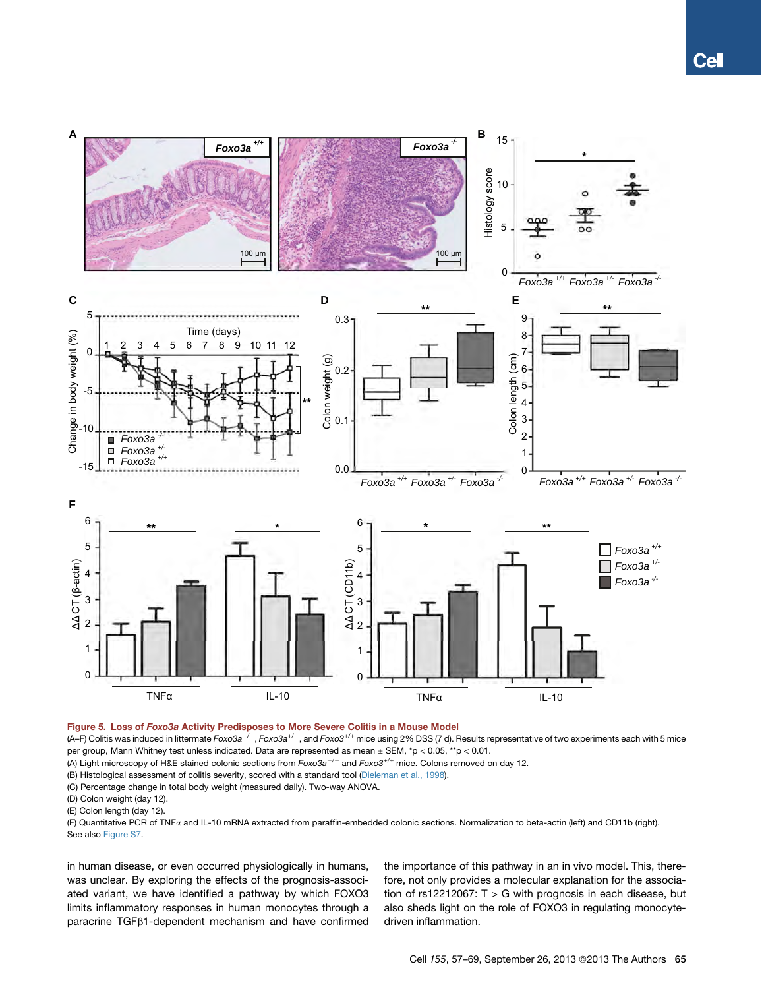<span id="page-8-0"></span>

# Figure 5. Loss of Foxo3a Activity Predisposes to More Severe Colitis in a Mouse Model

(A–F) Colitis was induced in littermate *Foxo3a/*, *Foxo3a+/*, and *Foxo3+/+* mice using 2% DSS (7 d). Results representative of two experiments each with 5 mice per group, Mann Whitney test unless indicated. Data are represented as mean ± SEM, \*p < 0.05, \*\*p < 0.01.

(A) Light microscopy of H&E stained colonic sections from  $Foxo3a^{-/-}$  and  $Foxo3^{+/+}$  mice. Colons removed on day 12.

(B) Histological assessment of colitis severity, scored with a standard tool [\(Dieleman et al., 1998\)](#page-11-0).

(C) Percentage change in total body weight (measured daily). Two-way ANOVA.

(D) Colon weight (day 12).

(E) Colon length (day 12).

(F) Quantitative PCR of TNFa and IL-10 mRNA extracted from paraffin-embedded colonic sections. Normalization to beta-actin (left) and CD11b (right). See also Figure S7.

in human disease, or even occurred physiologically in humans, was unclear. By exploring the effects of the prognosis-associated variant, we have identified a pathway by which FOXO3 limits inflammatory responses in human monocytes through a paracrine TGFb1-dependent mechanism and have confirmed the importance of this pathway in an in vivo model. This, therefore, not only provides a molecular explanation for the association of  $rs12212067$ : T > G with prognosis in each disease, but also sheds light on the role of FOXO3 in regulating monocytedriven inflammation.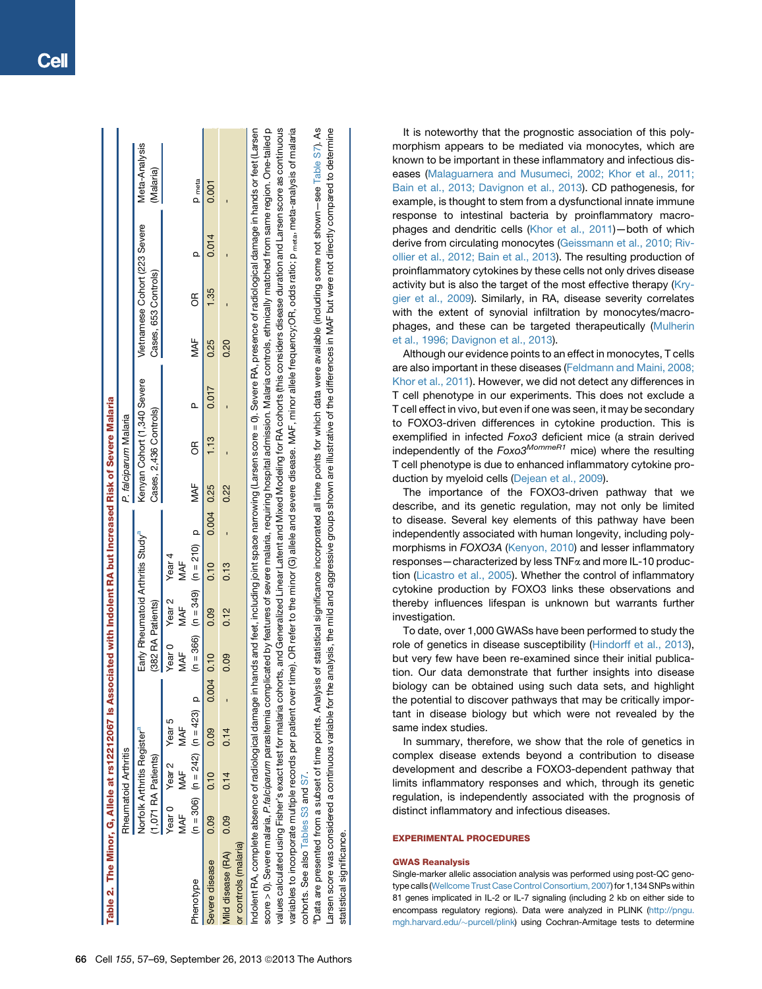| Table 2. The Minor, G, Allele at rs12212067 Is Associated with Indolent RA but Increased Risk of Severe Malaria                                                                                                                                                                                                                                                                                             |      |                                                   |                                       |            |                             |      |                                               |            |      |                                                       |       |      |                                                       |       |                                                                                                                                                         |
|-------------------------------------------------------------------------------------------------------------------------------------------------------------------------------------------------------------------------------------------------------------------------------------------------------------------------------------------------------------------------------------------------------------|------|---------------------------------------------------|---------------------------------------|------------|-----------------------------|------|-----------------------------------------------|------------|------|-------------------------------------------------------|-------|------|-------------------------------------------------------|-------|---------------------------------------------------------------------------------------------------------------------------------------------------------|
|                                                                                                                                                                                                                                                                                                                                                                                                             |      | Rheumatoid Arthritis                              |                                       |            |                             |      |                                               |            |      | P. falciparum Malaria                                 |       |      |                                                       |       |                                                                                                                                                         |
|                                                                                                                                                                                                                                                                                                                                                                                                             |      | Norfolk Arthritis Register"<br>1,071 RA Patients) |                                       |            | (382 RA Patients)           |      | Early Rheumatoid Arthritis Study <sup>a</sup> |            |      | Kenyan Cohort (1,340 Severe<br>Cases, 2,436 Controls) |       |      | Vietnamese Cohort (223 Severe<br>Cases, 653 Controls) |       | Meta-Analysis<br>(Malaria)                                                                                                                              |
|                                                                                                                                                                                                                                                                                                                                                                                                             | MAF  | Year O Year 2 Year 5<br>MAF                       | MAF                                   |            | Year 0 Year 2 Year 4<br>MAF | MAF  | MAF                                           |            |      |                                                       |       |      |                                                       |       |                                                                                                                                                         |
| Phenotype                                                                                                                                                                                                                                                                                                                                                                                                   |      |                                                   | $(n = 306)$ $(n = 242)$ $(n = 423)$ p |            |                             |      | $(n = 366)$ $(n = 349)$ $(n = 210)$ p         |            | MAF  | 6                                                     | Δ     | MAF  | g                                                     |       | <b>P</b> meta                                                                                                                                           |
| Severe disease                                                                                                                                                                                                                                                                                                                                                                                              | 0.09 | 0.10                                              | 0.09                                  | 0.004 0.10 |                             | 0.09 | 0.10                                          | 0.004 0.25 |      | 1.13                                                  | 0.017 | 0.25 | 1.35                                                  | 0.014 | 0.001                                                                                                                                                   |
| Mild disease (RA) 0.09                                                                                                                                                                                                                                                                                                                                                                                      |      | 0.14                                              | 0.14                                  |            | 0.09                        | 0.12 | 0.13                                          |            | 0.22 |                                                       |       | 0.20 |                                                       |       |                                                                                                                                                         |
| or controls (malaria)                                                                                                                                                                                                                                                                                                                                                                                       |      |                                                   |                                       |            |                             |      |                                               |            |      |                                                       |       |      |                                                       |       |                                                                                                                                                         |
| Indolent RA, complete absence of radiological damage in hands and feet, including joint space narrowing (Larsen score = 0). Severe RA, presence of radiological damage in hands or feet (Larsen<br>score > 0). Severe malaria, <i>P.falciparum</i> parasitemia complicated by features of severe malaria, requiring hospital admission. Malaria controls, ethnically matched from same region. One-tailed p |      |                                                   |                                       |            |                             |      |                                               |            |      |                                                       |       |      |                                                       |       |                                                                                                                                                         |
| values calculated using Fisher's exact test for malaria cohorts, and Generalized Linear Latent and Mixed Modeling for RA cohorts (this considers disease duration and Larsen score as continuous                                                                                                                                                                                                            |      |                                                   |                                       |            |                             |      |                                               |            |      |                                                       |       |      |                                                       |       |                                                                                                                                                         |
| variables to incorporate multiple records per patient ov                                                                                                                                                                                                                                                                                                                                                    |      |                                                   |                                       |            |                             |      |                                               |            |      |                                                       |       |      |                                                       |       | er time). OR refer to the minor (C) allele and severe disease. MAF, minor allele frequency;OR, odds ratio; p <sub>meta</sub> , meta-analysis of malaria |

 $\Box$  $\Box$  $\Box$  $\Box$  $\Box$  $\Box$  $\Box$ 

4s and aggressive groups shown are illustrative of the differences in MAF but were not directly compared to determine cohorts. See also Tables S3 and S7.<br>"Data are presented from a subset of time points. Analysis of statistical significance incorporated all time points for which data were available (including some not shown—see Table S7). Larsen score was considered a continuous variable for the analysis, the mild and aggressive groups shown are illustrative of the differences in MAF but were not directly compared to determine S7). points for which data were available (including some not shown-see Table 'Data are presented from a subset of time points. Analysis of statistical significance incorporated all time arsen score was considered a continuous variable for the analysis, the mild cohorts. See also Tables S3 and S7 statistical significance. statistical significance.

It is noteworthy that the prognostic association of this polymorphism appears to be mediated via monocytes, which are known to be important in these inflammatory and infectious diseases ([Malaguarnera and Musumeci, 2002; Khor et al., 2011;](#page-11-0) [Bain et al., 2013; Davignon et al., 2013\)](#page-11-0). CD pathogenesis, for example, is thought to stem from a dysfunctional innate immune response to intestinal bacteria by proinflammatory macrophages and dendritic cells ([Khor et al., 2011](#page-11-0))—both of which derive from circulating monocytes ([Geissmann et al., 2010; Riv](#page-11-0)[ollier et al., 2012; Bain et al., 2013](#page-11-0)). The resulting production of proinflammatory cytokines by these cells not only drives disease activity but is also the target of the most effective therapy ([Kry](#page-11-0)[gier et al., 2009](#page-11-0)). Similarly, in RA, disease severity correlates with the extent of synovial infiltration by monocytes/macrophages, and these can be targeted therapeutically [\(Mulherin](#page-11-0) [et al., 1996; Davignon et al., 2013](#page-11-0)).

Although our evidence points to an effect in monocytes, T cells are also important in these diseases ([Feldmann and Maini, 2008;](#page-11-0) [Khor et al., 2011](#page-11-0)). However, we did not detect any differences in T cell phenotype in our experiments. This does not exclude a T cell effect in vivo, but even if one was seen, it may be secondary to FOXO3-driven differences in cytokine production. This is exemplified in infected *Foxo3* deficient mice (a strain derived independently of the *Foxo3MommeR1* mice) where the resulting T cell phenotype is due to enhanced inflammatory cytokine production by myeloid cells ([Dejean et al., 2009](#page-10-0)).

The importance of the FOXO3-driven pathway that we describe, and its genetic regulation, may not only be limited to disease. Several key elements of this pathway have been independently associated with human longevity, including polymorphisms in *FOXO3A* [\(Kenyon, 2010\)](#page-11-0) and lesser inflammatory responses—characterized by less TNFa and more IL-10 production ([Licastro et al., 2005](#page-11-0)). Whether the control of inflammatory cytokine production by FOXO3 links these observations and thereby influences lifespan is unknown but warrants further investigation.

To date, over 1,000 GWASs have been performed to study the role of genetics in disease susceptibility [\(Hindorff et al., 2013](#page-11-0)), but very few have been re-examined since their initial publication. Our data demonstrate that further insights into disease biology can be obtained using such data sets, and highlight the potential to discover pathways that may be critically important in disease biology but which were not revealed by the same index studies.

In summary, therefore, we show that the role of genetics in complex disease extends beyond a contribution to disease development and describe a FOXO3-dependent pathway that limits inflammatory responses and which, through its genetic regulation, is independently associated with the prognosis of distinct inflammatory and infectious diseases.

## EXPERIMENTAL PROCEDURES

#### GWAS Reanalysis

Single-marker allelic association analysis was performed using post-QC genotype calls ([Wellcome Trust Case Control Consortium, 2007\)](#page-12-0) for 1,134 SNPs within 81 genes implicated in IL-2 or IL-7 signaling (including 2 kb on either side to encompass regulatory regions). Data were analyzed in PLINK [\(http://pngu.](http://pngu.mgh.harvard.edu/%7Epurcell/plink) [mgh.harvard.edu/](http://pngu.mgh.harvard.edu/%7Epurcell/plink)~[purcell/plink](http://pngu.mgh.harvard.edu/%7Epurcell/plink)) using Cochran-Armitage tests to determine

<span id="page-9-0"></span>n.  $\blacksquare$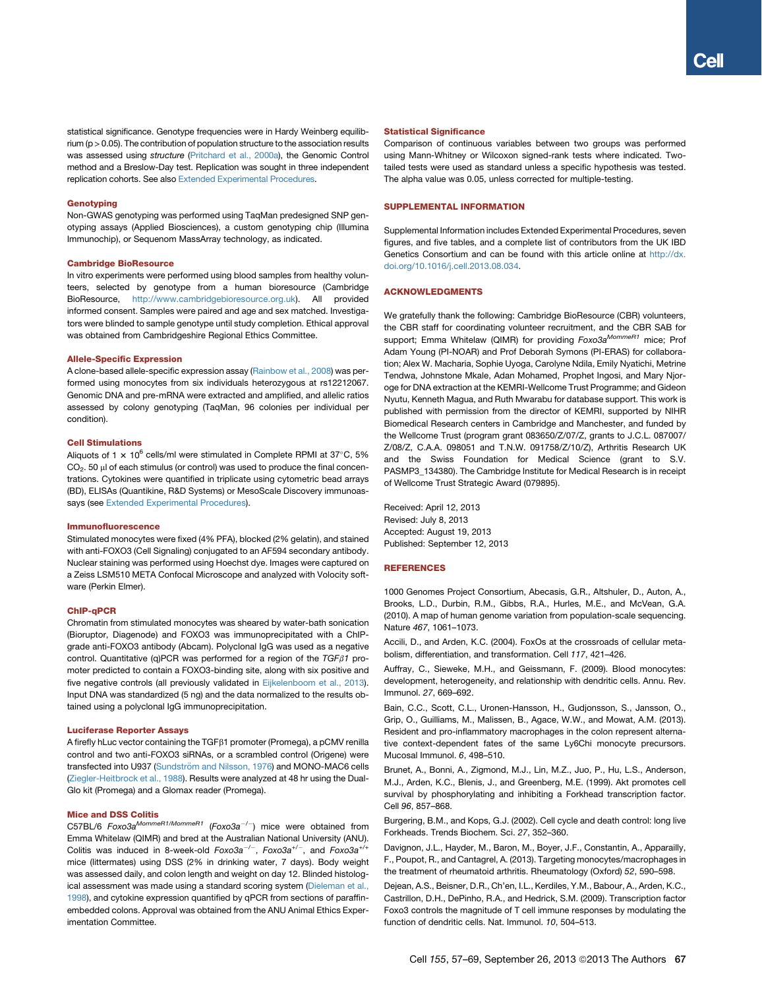<span id="page-10-0"></span>statistical significance. Genotype frequencies were in Hardy Weinberg equilibrium (p > 0.05). The contribution of population structure to the association results was assessed using *structure* ([Pritchard et al., 2000a](#page-11-0)), the Genomic Control method and a Breslow-Day test. Replication was sought in three independent replication cohorts. See also Extended Experimental Procedures.

#### **Genotyping**

Non-GWAS genotyping was performed using TaqMan predesigned SNP genotyping assays (Applied Biosciences), a custom genotyping chip (Illumina Immunochip), or Sequenom MassArray technology, as indicated.

#### Cambridge BioResource

In vitro experiments were performed using blood samples from healthy volunteers, selected by genotype from a human bioresource (Cambridge BioResource, <http://www.cambridgebioresource.org.uk>). All provided informed consent. Samples were paired and age and sex matched. Investigators were blinded to sample genotype until study completion. Ethical approval was obtained from Cambridgeshire Regional Ethics Committee.

## Allele-Specific Expression

A clone-based allele-specific expression assay [\(Rainbow et al., 2008](#page-11-0)) was performed using monocytes from six individuals heterozygous at rs12212067. Genomic DNA and pre-mRNA were extracted and amplified, and allelic ratios assessed by colony genotyping (TaqMan, 96 colonies per individual per condition).

## Cell Stimulations

Aliquots of 1  $\times$  10<sup>6</sup> cells/ml were stimulated in Complete RPMI at 37°C, 5%  $CO<sub>2</sub>$ . 50  $\mu$ l of each stimulus (or control) was used to produce the final concentrations. Cytokines were quantified in triplicate using cytometric bead arrays (BD), ELISAs (Quantikine, R&D Systems) or MesoScale Discovery immunoassays (see Extended Experimental Procedures).

#### Immunofluorescence

Stimulated monocytes were fixed (4% PFA), blocked (2% gelatin), and stained with anti-FOXO3 (Cell Signaling) conjugated to an AF594 secondary antibody. Nuclear staining was performed using Hoechst dye. Images were captured on a Zeiss LSM510 META Confocal Microscope and analyzed with Volocity software (Perkin Elmer).

### ChIP-qPCR

Chromatin from stimulated monocytes was sheared by water-bath sonication (Bioruptor, Diagenode) and FOXO3 was immunoprecipitated with a ChIPgrade anti-FOXO3 antibody (Abcam). Polyclonal IgG was used as a negative control. Quantitative (q)PCR was performed for a region of the  $TGF\beta1$  promoter predicted to contain a FOXO3-binding site, along with six positive and five negative controls (all previously validated in [Eijkelenboom et al., 2013](#page-11-0)). Input DNA was standardized (5 ng) and the data normalized to the results obtained using a polyclonal IgG immunoprecipitation.

#### Luciferase Reporter Assays

A firefly hLuc vector containing the TGFb1 promoter (Promega), a pCMV renilla control and two anti-FOXO3 siRNAs, or a scrambled control (Origene) were transfected into U937 (Sundströ[m and Nilsson, 1976](#page-11-0)) and MONO-MAC6 cells ([Ziegler-Heitbrock et al., 1988\)](#page-12-0). Results were analyzed at 48 hr using the Dual-Glo kit (Promega) and a Glomax reader (Promega).

#### Mice and DSS Colitis

C57BL/6 *Foxo3a<sup>MommeR1/MommeR1*</sup> (*Foxo3a<sup>-/-</sup>*) mice were obtained from Emma Whitelaw (QIMR) and bred at the Australian National University (ANU). Colitis was induced in 8-week-old  $Foxo3a^{-/-}$ ,  $Foxo3a^{+/-}$ , and  $Foxo3a^{+/+}$ mice (littermates) using DSS (2% in drinking water, 7 days). Body weight was assessed daily, and colon length and weight on day 12. Blinded histological assessment was made using a standard scoring system [\(Dieleman et al.,](#page-11-0) [1998\)](#page-11-0), and cytokine expression quantified by qPCR from sections of paraffinembedded colons. Approval was obtained from the ANU Animal Ethics Experimentation Committee.

### Statistical Significance

Comparison of continuous variables between two groups was performed using Mann-Whitney or Wilcoxon signed-rank tests where indicated. Twotailed tests were used as standard unless a specific hypothesis was tested. The alpha value was 0.05, unless corrected for multiple-testing.

#### SUPPLEMENTAL INFORMATION

Supplemental Information includes Extended Experimental Procedures, seven figures, and five tables, and a complete list of contributors from the UK IBD Genetics Consortium and can be found with this article online at [http://dx.](http://dx.doi.org/10.1016/j.cell.2013.08.034) [doi.org/10.1016/j.cell.2013.08.034.](http://dx.doi.org/10.1016/j.cell.2013.08.034)

### ACKNOWLEDGMENTS

We gratefully thank the following: Cambridge BioResource (CBR) volunteers, the CBR staff for coordinating volunteer recruitment, and the CBR SAB for support; Emma Whitelaw (QIMR) for providing  $Foxo3a^{MommeR1}$  mice; Prof Adam Young (PI-NOAR) and Prof Deborah Symons (PI-ERAS) for collaboration; Alex W. Macharia, Sophie Uyoga, Carolyne Ndila, Emily Nyatichi, Metrine Tendwa, Johnstone Mkale, Adan Mohamed, Prophet Ingosi, and Mary Njoroge for DNA extraction at the KEMRI-Wellcome Trust Programme; and Gideon Nyutu, Kenneth Magua, and Ruth Mwarabu for database support. This work is published with permission from the director of KEMRI, supported by NIHR Biomedical Research centers in Cambridge and Manchester, and funded by the Wellcome Trust (program grant 083650/Z/07/Z, grants to J.C.L. 087007/ Z/08/Z, C.A.A. 098051 and T.N.W. 091758/Z/10/Z), Arthritis Research UK and the Swiss Foundation for Medical Science (grant to S.V. PASMP3\_134380). The Cambridge Institute for Medical Research is in receipt of Wellcome Trust Strategic Award (079895).

Received: April 12, 2013 Revised: July 8, 2013 Accepted: August 19, 2013 Published: September 12, 2013

#### **REFERENCES**

1000 Genomes Project Consortium, Abecasis, G.R., Altshuler, D., Auton, A., Brooks, L.D., Durbin, R.M., Gibbs, R.A., Hurles, M.E., and McVean, G.A. (2010). A map of human genome variation from population-scale sequencing. Nature *467*, 1061–1073.

Accili, D., and Arden, K.C. (2004). FoxOs at the crossroads of cellular metabolism, differentiation, and transformation. Cell *117*, 421–426.

Auffray, C., Sieweke, M.H., and Geissmann, F. (2009). Blood monocytes: development, heterogeneity, and relationship with dendritic cells. Annu. Rev. Immunol. *27*, 669–692.

Bain, C.C., Scott, C.L., Uronen-Hansson, H., Gudjonsson, S., Jansson, O., Grip, O., Guilliams, M., Malissen, B., Agace, W.W., and Mowat, A.M. (2013). Resident and pro-inflammatory macrophages in the colon represent alternative context-dependent fates of the same Ly6Chi monocyte precursors. Mucosal Immunol. *6*, 498–510.

Brunet, A., Bonni, A., Zigmond, M.J., Lin, M.Z., Juo, P., Hu, L.S., Anderson, M.J., Arden, K.C., Blenis, J., and Greenberg, M.E. (1999). Akt promotes cell survival by phosphorylating and inhibiting a Forkhead transcription factor. Cell *96*, 857–868.

Burgering, B.M., and Kops, G.J. (2002). Cell cycle and death control: long live Forkheads. Trends Biochem. Sci. *27*, 352–360.

Davignon, J.L., Hayder, M., Baron, M., Boyer, J.F., Constantin, A., Apparailly, F., Poupot, R., and Cantagrel, A. (2013). Targeting monocytes/macrophages in the treatment of rheumatoid arthritis. Rheumatology (Oxford) *52*, 590–598.

Dejean, A.S., Beisner, D.R., Ch'en, I.L., Kerdiles, Y.M., Babour, A., Arden, K.C., Castrillon, D.H., DePinho, R.A., and Hedrick, S.M. (2009). Transcription factor Foxo3 controls the magnitude of T cell immune responses by modulating the function of dendritic cells. Nat. Immunol. *10*, 504–513.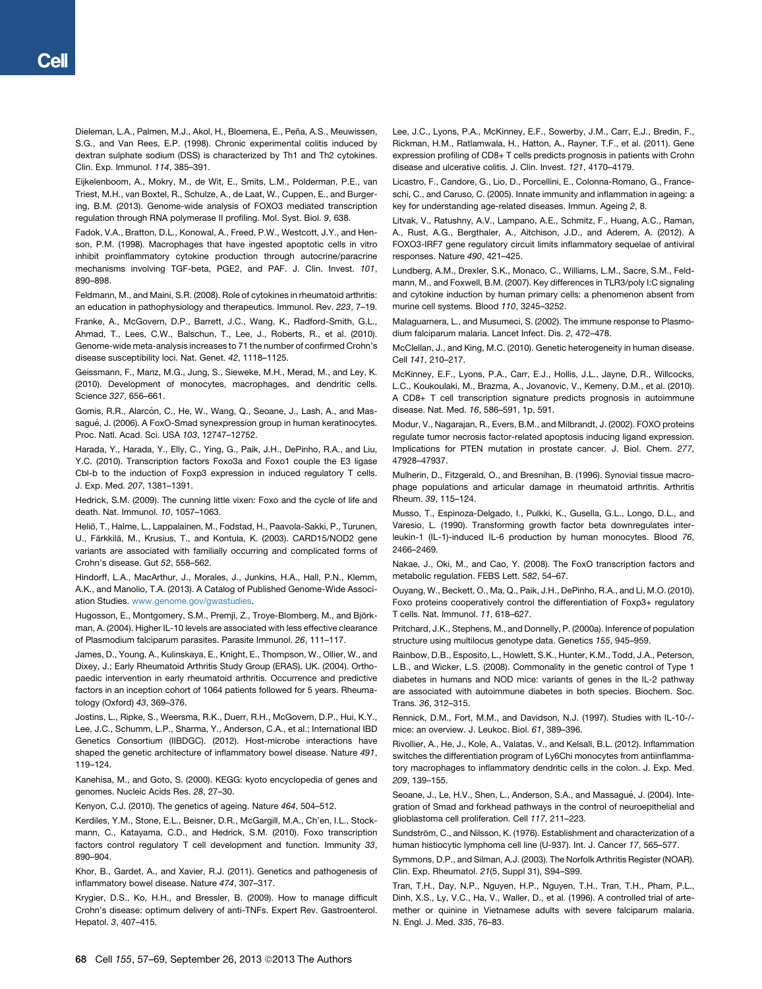<span id="page-11-0"></span>Dieleman, L.A., Palmen, M.J., Akol, H., Bloemena, E., Peña, A.S., Meuwissen, S.G., and Van Rees, E.P. (1998). Chronic experimental colitis induced by dextran sulphate sodium (DSS) is characterized by Th1 and Th2 cytokines. Clin. Exp. Immunol. *114*, 385–391.

Eijkelenboom, A., Mokry, M., de Wit, E., Smits, L.M., Polderman, P.E., van Triest, M.H., van Boxtel, R., Schulze, A., de Laat, W., Cuppen, E., and Burgering, B.M. (2013). Genome-wide analysis of FOXO3 mediated transcription regulation through RNA polymerase II profiling. Mol. Syst. Biol. *9*, 638.

Fadok, V.A., Bratton, D.L., Konowal, A., Freed, P.W., Westcott, J.Y., and Henson, P.M. (1998). Macrophages that have ingested apoptotic cells in vitro inhibit proinflammatory cytokine production through autocrine/paracrine mechanisms involving TGF-beta, PGE2, and PAF. J. Clin. Invest. *101*, 890–898.

Feldmann, M., and Maini, S.R. (2008). Role of cytokines in rheumatoid arthritis: an education in pathophysiology and therapeutics. Immunol. Rev. *223*, 7–19.

Franke, A., McGovern, D.P., Barrett, J.C., Wang, K., Radford-Smith, G.L., Ahmad, T., Lees, C.W., Balschun, T., Lee, J., Roberts, R., et al. (2010). Genome-wide meta-analysis increases to 71 the number of confirmed Crohn's disease susceptibility loci. Nat. Genet. *42*, 1118–1125.

Geissmann, F., Manz, M.G., Jung, S., Sieweke, M.H., Merad, M., and Ley, K. (2010). Development of monocytes, macrophages, and dendritic cells. Science *327*, 656–661.

Gomis, R.R., Alarcón, C., He, W., Wang, Q., Seoane, J., Lash, A., and Massagué, J. (2006). A FoxO-Smad synexpression group in human keratinocytes. Proc. Natl. Acad. Sci. USA *103*, 12747–12752.

Harada, Y., Harada, Y., Elly, C., Ying, G., Paik, J.H., DePinho, R.A., and Liu, Y.C. (2010). Transcription factors Foxo3a and Foxo1 couple the E3 ligase Cbl-b to the induction of Foxp3 expression in induced regulatory T cells. J. Exp. Med. *207*, 1381–1391.

Hedrick, S.M. (2009). The cunning little vixen: Foxo and the cycle of life and death. Nat. Immunol. *10*, 1057–1063.

Heliö, T., Halme, L., Lappalainen, M., Fodstad, H., Paavola-Sakki, P., Turunen, U., Färkkilä, M., Krusius, T., and Kontula, K. (2003). CARD15/NOD2 gene variants are associated with familially occurring and complicated forms of Crohn's disease. Gut *52*, 558–562.

Hindorff, L.A., MacArthur, J., Morales, J., Junkins, H.A., Hall, P.N., Klemm, A.K., and Manolio, T.A. (2013). A Catalog of Published Genome-Wide Association Studies. [www.genome.gov/gwastudies](http://www.genome.gov/gwastudies).

Hugosson, E., Montgomery, S.M., Premji, Z., Troye-Blomberg, M., and Björkman, A. (2004). Higher IL-10 levels are associated with less effective clearance of Plasmodium falciparum parasites. Parasite Immunol. *26*, 111–117.

James, D., Young, A., Kulinskaya, E., Knight, E., Thompson, W., Ollier, W., and Dixey, J.; Early Rheumatoid Arthritis Study Group (ERAS), UK. (2004). Orthopaedic intervention in early rheumatoid arthritis. Occurrence and predictive factors in an inception cohort of 1064 patients followed for 5 years. Rheumatology (Oxford) *43*, 369–376.

Jostins, L., Ripke, S., Weersma, R.K., Duerr, R.H., McGovern, D.P., Hui, K.Y., Lee, J.C., Schumm, L.P., Sharma, Y., Anderson, C.A., et al.; International IBD Genetics Consortium (IIBDGC). (2012). Host-microbe interactions have shaped the genetic architecture of inflammatory bowel disease. Nature *491*, 119–124.

Kanehisa, M., and Goto, S. (2000). KEGG: kyoto encyclopedia of genes and genomes. Nucleic Acids Res. *28*, 27–30.

Kenyon, C.J. (2010). The genetics of ageing. Nature *464*, 504–512.

Kerdiles, Y.M., Stone, E.L., Beisner, D.R., McGargill, M.A., Ch'en, I.L., Stockmann, C., Katayama, C.D., and Hedrick, S.M. (2010). Foxo transcription factors control regulatory T cell development and function. Immunity *33*, 890–904.

Khor, B., Gardet, A., and Xavier, R.J. (2011). Genetics and pathogenesis of inflammatory bowel disease. Nature *474*, 307–317.

Krygier, D.S., Ko, H.H., and Bressler, B. (2009). How to manage difficult Crohn's disease: optimum delivery of anti-TNFs. Expert Rev. Gastroenterol. Hepatol. *3*, 407–415.

Lee, J.C., Lyons, P.A., McKinney, E.F., Sowerby, J.M., Carr, E.J., Bredin, F., Rickman, H.M., Ratlamwala, H., Hatton, A., Rayner, T.F., et al. (2011). Gene expression profiling of CD8+ T cells predicts prognosis in patients with Crohn disease and ulcerative colitis. J. Clin. Invest. *121*, 4170–4179.

Licastro, F., Candore, G., Lio, D., Porcellini, E., Colonna-Romano, G., Franceschi, C., and Caruso, C. (2005). Innate immunity and inflammation in ageing: a key for understanding age-related diseases. Immun. Ageing *2*, 8.

Litvak, V., Ratushny, A.V., Lampano, A.E., Schmitz, F., Huang, A.C., Raman, A., Rust, A.G., Bergthaler, A., Aitchison, J.D., and Aderem, A. (2012). A FOXO3-IRF7 gene regulatory circuit limits inflammatory sequelae of antiviral responses. Nature *490*, 421–425.

Lundberg, A.M., Drexler, S.K., Monaco, C., Williams, L.M., Sacre, S.M., Feldmann, M., and Foxwell, B.M. (2007). Key differences in TLR3/poly I:C signaling and cytokine induction by human primary cells: a phenomenon absent from murine cell systems. Blood *110*, 3245–3252.

Malaguarnera, L., and Musumeci, S. (2002). The immune response to Plasmodium falciparum malaria. Lancet Infect. Dis. *2*, 472–478.

McClellan, J., and King, M.C. (2010). Genetic heterogeneity in human disease. Cell *141*, 210–217.

McKinney, E.F., Lyons, P.A., Carr, E.J., Hollis, J.L., Jayne, D.R., Willcocks, L.C., Koukoulaki, M., Brazma, A., Jovanovic, V., Kemeny, D.M., et al. (2010). A CD8+ T cell transcription signature predicts prognosis in autoimmune disease. Nat. Med. *16*, 586–591, 1p, 591.

Modur, V., Nagarajan, R., Evers, B.M., and Milbrandt, J. (2002). FOXO proteins regulate tumor necrosis factor-related apoptosis inducing ligand expression. Implications for PTEN mutation in prostate cancer. J. Biol. Chem. *277*, 47928–47937.

Mulherin, D., Fitzgerald, O., and Bresnihan, B. (1996). Synovial tissue macrophage populations and articular damage in rheumatoid arthritis. Arthritis Rheum. *39*, 115–124.

Musso, T., Espinoza-Delgado, I., Pulkki, K., Gusella, G.L., Longo, D.L., and Varesio, L. (1990). Transforming growth factor beta downregulates interleukin-1 (IL-1)-induced IL-6 production by human monocytes. Blood *76*, 2466–2469.

Nakae, J., Oki, M., and Cao, Y. (2008). The FoxO transcription factors and metabolic regulation. FEBS Lett. *582*, 54–67.

Ouyang, W., Beckett, O., Ma, Q., Paik, J.H., DePinho, R.A., and Li, M.O. (2010). Foxo proteins cooperatively control the differentiation of Foxp3+ regulatory T cells. Nat. Immunol. *11*, 618–627.

Pritchard, J.K., Stephens, M., and Donnelly, P. (2000a). Inference of population structure using multilocus genotype data. Genetics *155*, 945–959.

Rainbow, D.B., Esposito, L., Howlett, S.K., Hunter, K.M., Todd, J.A., Peterson, L.B., and Wicker, L.S. (2008). Commonality in the genetic control of Type 1 diabetes in humans and NOD mice: variants of genes in the IL-2 pathway are associated with autoimmune diabetes in both species. Biochem. Soc. Trans. *36*, 312–315.

Rennick, D.M., Fort, M.M., and Davidson, N.J. (1997). Studies with IL-10-/ mice: an overview. J. Leukoc. Biol. *61*, 389–396.

Rivollier, A., He, J., Kole, A., Valatas, V., and Kelsall, B.L. (2012). Inflammation switches the differentiation program of Ly6Chi monocytes from antiinflammatory macrophages to inflammatory dendritic cells in the colon. J. Exp. Med. *209*, 139–155.

Seoane, J., Le, H.V., Shen, L., Anderson, S.A., and Massagué, J. (2004). Integration of Smad and forkhead pathways in the control of neuroepithelial and glioblastoma cell proliferation. Cell *117*, 211–223.

Sundström, C., and Nilsson, K. (1976). Establishment and characterization of a human histiocytic lymphoma cell line (U-937). Int. J. Cancer *17*, 565–577.

Symmons, D.P., and Silman, A.J. (2003). The Norfolk Arthritis Register (NOAR). Clin. Exp. Rheumatol. *21*(5, Suppl 31), S94–S99.

Tran, T.H., Day, N.P., Nguyen, H.P., Nguyen, T.H., Tran, T.H., Pham, P.L., Dinh, X.S., Ly, V.C., Ha, V., Waller, D., et al. (1996). A controlled trial of artemether or quinine in Vietnamese adults with severe falciparum malaria. N. Engl. J. Med. *335*, 76–83.